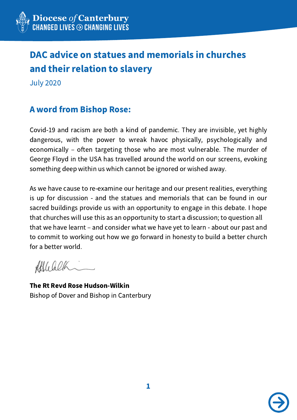

## DAC advice on statues and memorials in churches and their relation to slavery

July 2020

## A word from Bishop Rose:

Covid-19 and racism are both a kind of pandemic. They are invisible, yet highly dangerous, with the power to wreak havoc physically, psychologically and economically – often targeting those who are most vulnerable. The murder of George Floyd in the USA has travelled around the world on our screens, evoking something deep within us which cannot be ignored or wished away.

As we have cause to re-examine our heritage and our present realities, everything is up for discussion - and the statues and memorials that can be found in our sacred buildings provide us with an opportunity to engage in this debate. I hope that churches will use this as an opportunity to start a discussion; to question all that we have learnt – and consider what we have yet to learn - about our past and to commit to working out how we go forward in honesty to build a better church for a better world.

Afflicalh

The Rt Revd Rose Hudson-Wilkin Bishop of Dover and Bishop in Canterbury

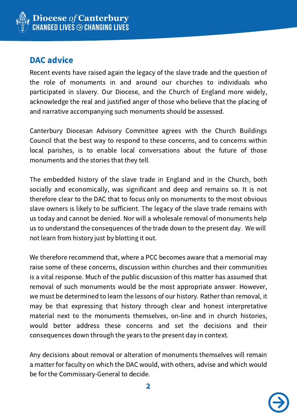

## DAC advice

Recent events have raised again the legacy of the slave trade and the question of the role of monuments in and around our churches to individuals who participated in slavery. Our Diocese, and the Church of England more widely, acknowledge the real and justified anger of those who believe that the placing of and narrative accompanying such monuments should be assessed.

Canterbury Diocesan Advisory Committee agrees with the Church Buildings Council that the best way to respond to these concerns, and to concerns within local parishes, is to enable local conversations about the future of those monuments and the stories that they tell.

The embedded history of the slave trade in England and in the Church, both socially and economically, was significant and deep and remains so. It is not therefore clear to the DAC that to focus only on monuments to the most obvious slave owners is likely to be sufficient. The legacy of the slave trade remains with us today and cannot be denied. Nor will a wholesale removal of monuments help us to understand the consequences of the trade down to the present day. We will not learn from history just by blotting it out.

We therefore recommend that, where a PCC becomes aware that a memorial may raise some of these concerns, discussion within churches and their communities is a vital response. Much of the public discussion of this matter has assumed that removal of such monuments would be the most appropriate answer. However, we must be determined to learn the lessons of our history. Rather than removal, it may be that expressing that history through clear and honest interpretative material next to the monuments themselves, on-line and in church histories, would better address these concerns and set the decisions and their consequences down through the years to the present day in context.

Any decisions about removal or alteration of monuments themselves will remain a matter for faculty on which the DAC would, with others, advise and which would be for the Commissary-General to decide.